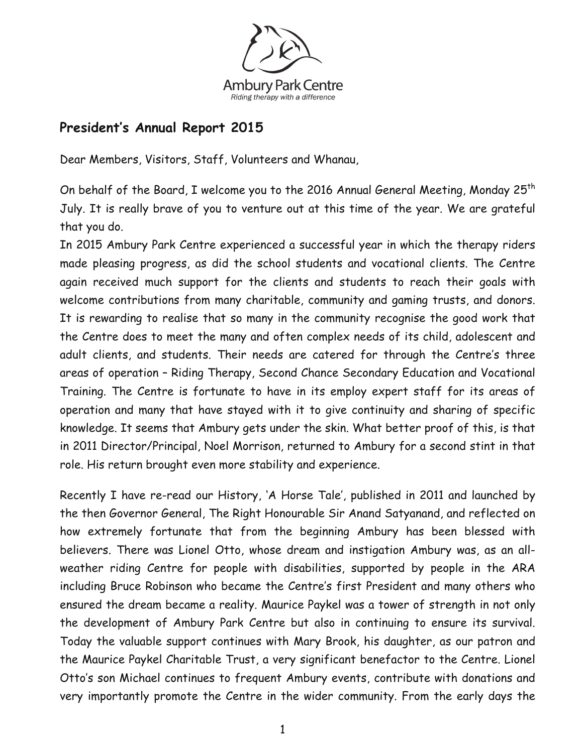

## **President's Annual Report 2015**

Dear Members, Visitors, Staff, Volunteers and Whanau,

On behalf of the Board, I welcome you to the 2016 Annual General Meeting, Monday 25<sup>th</sup> July. It is really brave of you to venture out at this time of the year. We are grateful that you do.

In 2015 Ambury Park Centre experienced a successful year in which the therapy riders made pleasing progress, as did the school students and vocational clients. The Centre again received much support for the clients and students to reach their goals with welcome contributions from many charitable, community and gaming trusts, and donors. It is rewarding to realise that so many in the community recognise the good work that the Centre does to meet the many and often complex needs of its child, adolescent and adult clients, and students. Their needs are catered for through the Centre's three areas of operation – Riding Therapy, Second Chance Secondary Education and Vocational Training. The Centre is fortunate to have in its employ expert staff for its areas of operation and many that have stayed with it to give continuity and sharing of specific knowledge. It seems that Ambury gets under the skin. What better proof of this, is that in 2011 Director/Principal, Noel Morrison, returned to Ambury for a second stint in that role. His return brought even more stability and experience.

Recently I have re-read our History, 'A Horse Tale', published in 2011 and launched by the then Governor General, The Right Honourable Sir Anand Satyanand, and reflected on how extremely fortunate that from the beginning Ambury has been blessed with believers. There was Lionel Otto, whose dream and instigation Ambury was, as an allweather riding Centre for people with disabilities, supported by people in the ARA including Bruce Robinson who became the Centre's first President and many others who ensured the dream became a reality. Maurice Paykel was a tower of strength in not only the development of Ambury Park Centre but also in continuing to ensure its survival. Today the valuable support continues with Mary Brook, his daughter, as our patron and the Maurice Paykel Charitable Trust, a very significant benefactor to the Centre. Lionel Otto's son Michael continues to frequent Ambury events, contribute with donations and very importantly promote the Centre in the wider community. From the early days the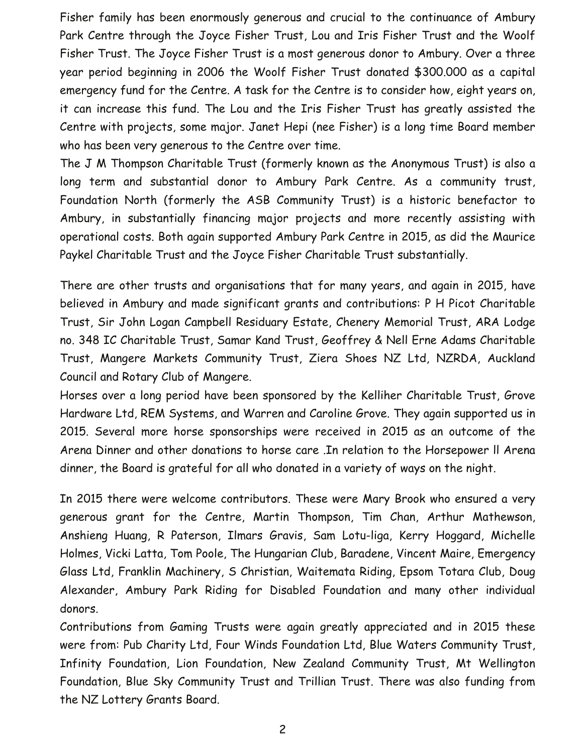Fisher family has been enormously generous and crucial to the continuance of Ambury Park Centre through the Joyce Fisher Trust, Lou and Iris Fisher Trust and the Woolf Fisher Trust. The Joyce Fisher Trust is a most generous donor to Ambury. Over a three year period beginning in 2006 the Woolf Fisher Trust donated \$300.000 as a capital emergency fund for the Centre. A task for the Centre is to consider how, eight years on, it can increase this fund. The Lou and the Iris Fisher Trust has greatly assisted the Centre with projects, some major. Janet Hepi (nee Fisher) is a long time Board member who has been very generous to the Centre over time.

The J M Thompson Charitable Trust (formerly known as the Anonymous Trust) is also a long term and substantial donor to Ambury Park Centre. As a community trust, Foundation North (formerly the ASB Community Trust) is a historic benefactor to Ambury, in substantially financing major projects and more recently assisting with operational costs. Both again supported Ambury Park Centre in 2015, as did the Maurice Paykel Charitable Trust and the Joyce Fisher Charitable Trust substantially.

There are other trusts and organisations that for many years, and again in 2015, have believed in Ambury and made significant grants and contributions: P H Picot Charitable Trust, Sir John Logan Campbell Residuary Estate, Chenery Memorial Trust, ARA Lodge no. 348 IC Charitable Trust, Samar Kand Trust, Geoffrey & Nell Erne Adams Charitable Trust, Mangere Markets Community Trust, Ziera Shoes NZ Ltd, NZRDA, Auckland Council and Rotary Club of Mangere.

Horses over a long period have been sponsored by the Kelliher Charitable Trust, Grove Hardware Ltd, REM Systems, and Warren and Caroline Grove. They again supported us in 2015. Several more horse sponsorships were received in 2015 as an outcome of the Arena Dinner and other donations to horse care .In relation to the Horsepower ll Arena dinner, the Board is grateful for all who donated in a variety of ways on the night.

In 2015 there were welcome contributors. These were Mary Brook who ensured a very generous grant for the Centre, Martin Thompson, Tim Chan, Arthur Mathewson, Anshieng Huang, R Paterson, Ilmars Gravis, Sam Lotu-liga, Kerry Hoggard, Michelle Holmes, Vicki Latta, Tom Poole, The Hungarian Club, Baradene, Vincent Maire, Emergency Glass Ltd, Franklin Machinery, S Christian, Waitemata Riding, Epsom Totara Club, Doug Alexander, Ambury Park Riding for Disabled Foundation and many other individual donors.

Contributions from Gaming Trusts were again greatly appreciated and in 2015 these were from: Pub Charity Ltd, Four Winds Foundation Ltd, Blue Waters Community Trust, Infinity Foundation, Lion Foundation, New Zealand Community Trust, Mt Wellington Foundation, Blue Sky Community Trust and Trillian Trust. There was also funding from the NZ Lottery Grants Board.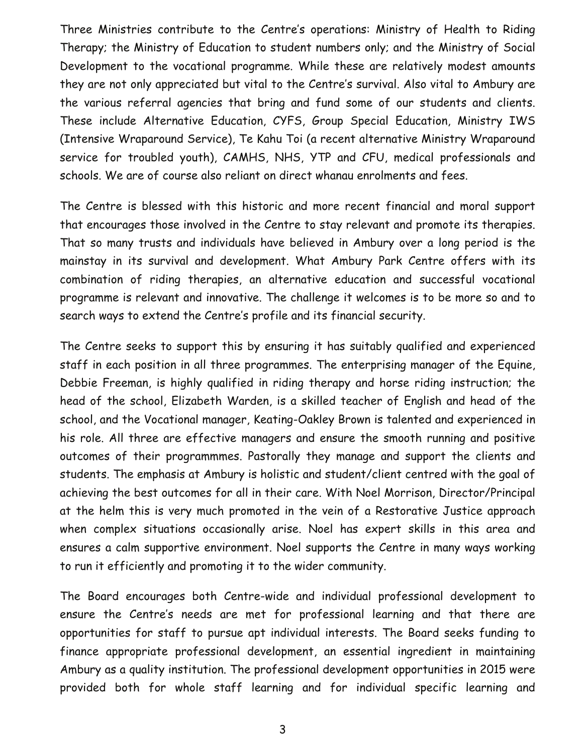Three Ministries contribute to the Centre's operations: Ministry of Health to Riding Therapy; the Ministry of Education to student numbers only; and the Ministry of Social Development to the vocational programme. While these are relatively modest amounts they are not only appreciated but vital to the Centre's survival. Also vital to Ambury are the various referral agencies that bring and fund some of our students and clients. These include Alternative Education, CYFS, Group Special Education, Ministry IWS (Intensive Wraparound Service), Te Kahu Toi (a recent alternative Ministry Wraparound service for troubled youth), CAMHS, NHS, YTP and CFU, medical professionals and schools. We are of course also reliant on direct whanau enrolments and fees.

The Centre is blessed with this historic and more recent financial and moral support that encourages those involved in the Centre to stay relevant and promote its therapies. That so many trusts and individuals have believed in Ambury over a long period is the mainstay in its survival and development. What Ambury Park Centre offers with its combination of riding therapies, an alternative education and successful vocational programme is relevant and innovative. The challenge it welcomes is to be more so and to search ways to extend the Centre's profile and its financial security.

The Centre seeks to support this by ensuring it has suitably qualified and experienced staff in each position in all three programmes. The enterprising manager of the Equine, Debbie Freeman, is highly qualified in riding therapy and horse riding instruction; the head of the school, Elizabeth Warden, is a skilled teacher of English and head of the school, and the Vocational manager, Keating-Oakley Brown is talented and experienced in his role. All three are effective managers and ensure the smooth running and positive outcomes of their programmmes. Pastorally they manage and support the clients and students. The emphasis at Ambury is holistic and student/client centred with the goal of achieving the best outcomes for all in their care. With Noel Morrison, Director/Principal at the helm this is very much promoted in the vein of a Restorative Justice approach when complex situations occasionally arise. Noel has expert skills in this area and ensures a calm supportive environment. Noel supports the Centre in many ways working to run it efficiently and promoting it to the wider community.

The Board encourages both Centre-wide and individual professional development to ensure the Centre's needs are met for professional learning and that there are opportunities for staff to pursue apt individual interests. The Board seeks funding to finance appropriate professional development, an essential ingredient in maintaining Ambury as a quality institution. The professional development opportunities in 2015 were provided both for whole staff learning and for individual specific learning and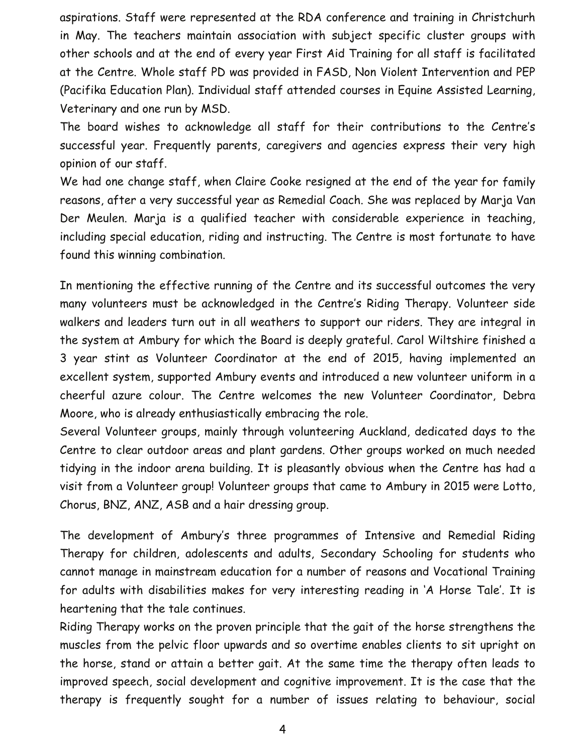aspirations. Staff were represented at the RDA conference and training in Christchurh in May. The teachers maintain association with subject specific cluster groups with other schools and at the end of every year First Aid Training for all staff is facilitated at the Centre. Whole staff PD was provided in FASD, Non Violent Intervention and PEP (Pacifika Education Plan). Individual staff attended courses in Equine Assisted Learning, Veterinary and one run by MSD.

The board wishes to acknowledge all staff for their contributions to the Centre's successful year. Frequently parents, caregivers and agencies express their very high opinion of our staff.

We had one change staff, when Claire Cooke resigned at the end of the year for family reasons, after a very successful year as Remedial Coach. She was replaced by Marja Van Der Meulen. Marja is a qualified teacher with considerable experience in teaching, including special education, riding and instructing. The Centre is most fortunate to have found this winning combination.

In mentioning the effective running of the Centre and its successful outcomes the very many volunteers must be acknowledged in the Centre's Riding Therapy. Volunteer side walkers and leaders turn out in all weathers to support our riders. They are integral in the system at Ambury for which the Board is deeply grateful. Carol Wiltshire finished a 3 year stint as Volunteer Coordinator at the end of 2015, having implemented an excellent system, supported Ambury events and introduced a new volunteer uniform in a cheerful azure colour. The Centre welcomes the new Volunteer Coordinator, Debra Moore, who is already enthusiastically embracing the role.

Several Volunteer groups, mainly through volunteering Auckland, dedicated days to the Centre to clear outdoor areas and plant gardens. Other groups worked on much needed tidying in the indoor arena building. It is pleasantly obvious when the Centre has had a visit from a Volunteer group! Volunteer groups that came to Ambury in 2015 were Lotto, Chorus, BNZ, ANZ, ASB and a hair dressing group.

The development of Ambury's three programmes of Intensive and Remedial Riding Therapy for children, adolescents and adults, Secondary Schooling for students who cannot manage in mainstream education for a number of reasons and Vocational Training for adults with disabilities makes for very interesting reading in 'A Horse Tale'. It is heartening that the tale continues.

Riding Therapy works on the proven principle that the gait of the horse strengthens the muscles from the pelvic floor upwards and so overtime enables clients to sit upright on the horse, stand or attain a better gait. At the same time the therapy often leads to improved speech, social development and cognitive improvement. It is the case that the therapy is frequently sought for a number of issues relating to behaviour, social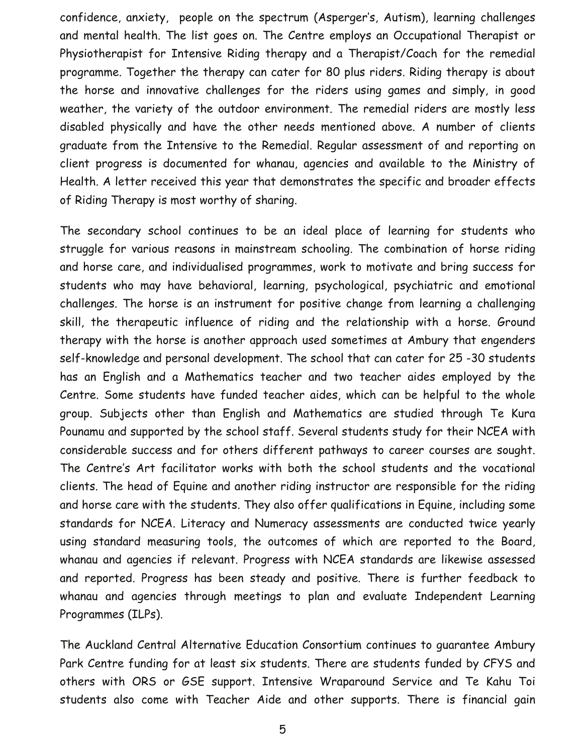confidence, anxiety, people on the spectrum (Asperger's, Autism), learning challenges and mental health. The list goes on. The Centre employs an Occupational Therapist or Physiotherapist for Intensive Riding therapy and a Therapist/Coach for the remedial programme. Together the therapy can cater for 80 plus riders. Riding therapy is about the horse and innovative challenges for the riders using games and simply, in good weather, the variety of the outdoor environment. The remedial riders are mostly less disabled physically and have the other needs mentioned above. A number of clients graduate from the Intensive to the Remedial. Regular assessment of and reporting on client progress is documented for whanau, agencies and available to the Ministry of Health. A letter received this year that demonstrates the specific and broader effects of Riding Therapy is most worthy of sharing.

The secondary school continues to be an ideal place of learning for students who struggle for various reasons in mainstream schooling. The combination of horse riding and horse care, and individualised programmes, work to motivate and bring success for students who may have behavioral, learning, psychological, psychiatric and emotional challenges. The horse is an instrument for positive change from learning a challenging skill, the therapeutic influence of riding and the relationship with a horse. Ground therapy with the horse is another approach used sometimes at Ambury that engenders self-knowledge and personal development. The school that can cater for 25 -30 students has an English and a Mathematics teacher and two teacher aides employed by the Centre. Some students have funded teacher aides, which can be helpful to the whole group. Subjects other than English and Mathematics are studied through Te Kura Pounamu and supported by the school staff. Several students study for their NCEA with considerable success and for others different pathways to career courses are sought. The Centre's Art facilitator works with both the school students and the vocational clients. The head of Equine and another riding instructor are responsible for the riding and horse care with the students. They also offer qualifications in Equine, including some standards for NCEA. Literacy and Numeracy assessments are conducted twice yearly using standard measuring tools, the outcomes of which are reported to the Board, whanau and agencies if relevant. Progress with NCEA standards are likewise assessed and reported. Progress has been steady and positive. There is further feedback to whanau and agencies through meetings to plan and evaluate Independent Learning Programmes (ILPs).

The Auckland Central Alternative Education Consortium continues to guarantee Ambury Park Centre funding for at least six students. There are students funded by CFYS and others with ORS or GSE support. Intensive Wraparound Service and Te Kahu Toi students also come with Teacher Aide and other supports. There is financial gain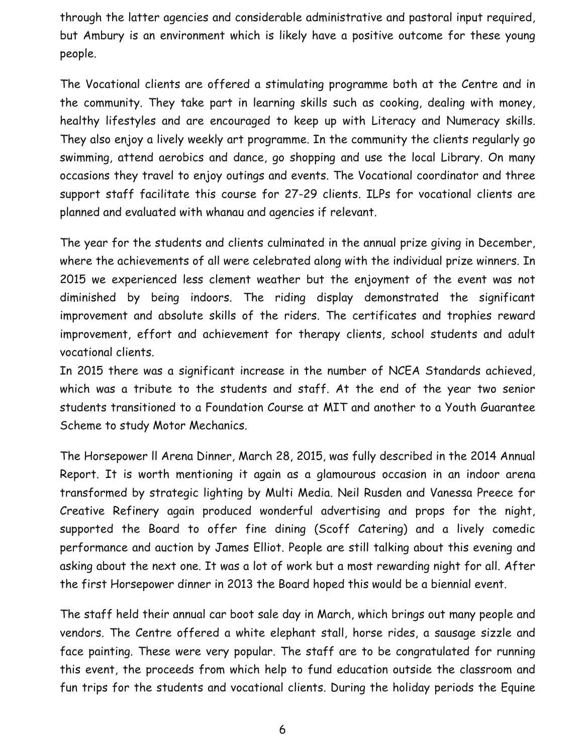through the latter agencies and considerable administrative and pastoral input required, but Ambury is an environment which is likely have a positive outcome for these young people.

The Vocational clients are offered a stimulating programme both at the Centre and in the community. They take part in learning skills such as cooking, dealing with money, healthy lifestyles and are encouraged to keep up with Literacy and Numeracy skills. They also enjoy a lively weekly art programme. In the community the clients regularly go swimming, attend aerobics and dance, go shopping and use the local Library. On many occasions they travel to enjoy outings and events. The Vocational coordinator and three support staff facilitate this course for 27-29 clients. ILPs for vocational clients are planned and evaluated with whanau and agencies if relevant.

The year for the students and clients culminated in the annual prize giving in December, where the achievements of all were celebrated along with the individual prize winners. In 2015 we experienced less clement weather but the enjoyment of the event was not diminished by being indoors. The riding display demonstrated the significant improvement and absolute skills of the riders. The certificates and trophies reward improvement, effort and achievement for therapy clients, school students and adult vocational clients.

In 2015 there was a significant increase in the number of NCEA Standards achieved, which was a tribute to the students and staff. At the end of the year two senior students transitioned to a Foundation Course at MIT and another to a Youth Guarantee Scheme to study Motor Mechanics.

The Horsepower ll Arena Dinner, March 28, 2015, was fully described in the 2014 Annual Report. It is worth mentioning it again as a glamourous occasion in an indoor arena transformed by strategic lighting by Multi Media. Neil Rusden and Vanessa Preece for Creative Refinery again produced wonderful advertising and props for the night, supported the Board to offer fine dining (Scoff Catering) and a lively comedic performance and auction by James Elliot. People are still talking about this evening and asking about the next one. It was a lot of work but a most rewarding night for all. After the first Horsepower dinner in 2013 the Board hoped this would be a biennial event.

The staff held their annual car boot sale day in March, which brings out many people and vendors. The Centre offered a white elephant stall, horse rides, a sausage sizzle and face painting. These were very popular. The staff are to be congratulated for running this event, the proceeds from which help to fund education outside the classroom and fun trips for the students and vocational clients. During the holiday periods the Equine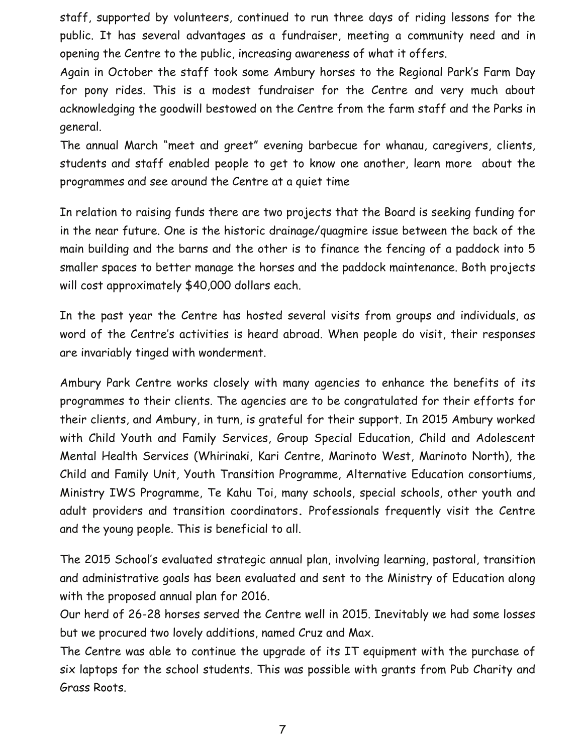staff, supported by volunteers, continued to run three days of riding lessons for the public. It has several advantages as a fundraiser, meeting a community need and in opening the Centre to the public, increasing awareness of what it offers.

Again in October the staff took some Ambury horses to the Regional Park's Farm Day for pony rides. This is a modest fundraiser for the Centre and very much about acknowledging the goodwill bestowed on the Centre from the farm staff and the Parks in general.

The annual March "meet and greet" evening barbecue for whanau, caregivers, clients, students and staff enabled people to get to know one another, learn more about the programmes and see around the Centre at a quiet time

In relation to raising funds there are two projects that the Board is seeking funding for in the near future. One is the historic drainage/quagmire issue between the back of the main building and the barns and the other is to finance the fencing of a paddock into 5 smaller spaces to better manage the horses and the paddock maintenance. Both projects will cost approximately \$40,000 dollars each.

In the past year the Centre has hosted several visits from groups and individuals, as word of the Centre's activities is heard abroad. When people do visit, their responses are invariably tinged with wonderment.

Ambury Park Centre works closely with many agencies to enhance the benefits of its programmes to their clients. The agencies are to be congratulated for their efforts for their clients, and Ambury, in turn, is grateful for their support. In 2015 Ambury worked with Child Youth and Family Services, Group Special Education, Child and Adolescent Mental Health Services (Whirinaki, Kari Centre, Marinoto West, Marinoto North), the Child and Family Unit, Youth Transition Programme, Alternative Education consortiums, Ministry IWS Programme, Te Kahu Toi, many schools, special schools, other youth and adult providers and transition coordinators**.** Professionals frequently visit the Centre and the young people. This is beneficial to all.

The 2015 School's evaluated strategic annual plan, involving learning, pastoral, transition and administrative goals has been evaluated and sent to the Ministry of Education along with the proposed annual plan for 2016.

Our herd of 26-28 horses served the Centre well in 2015. Inevitably we had some losses but we procured two lovely additions, named Cruz and Max.

The Centre was able to continue the upgrade of its IT equipment with the purchase of six laptops for the school students. This was possible with grants from Pub Charity and Grass Roots.